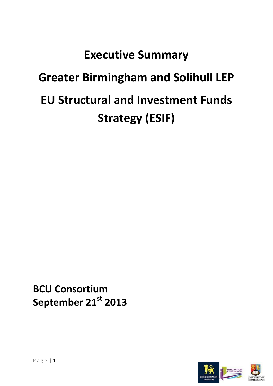# **Executive Summary Greater Birmingham and Solihull LEP EU Structural and Investment Funds Strategy (ESIF)**

**BCU Consortium September 21st 2013**

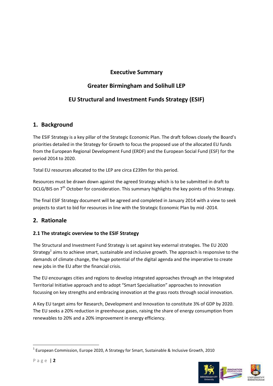# **Executive Summary**

# **Greater Birmingham and Solihull LEP**

# **EU Structural and Investment Funds Strategy (ESIF)**

# **1. Background**

The ESIF Strategy is a key pillar of the Strategic Economic Plan. The draft follows closely the Board's priorities detailed in the Strategy for Growth to focus the proposed use of the allocated EU funds from the European Regional Development Fund (ERDF) and the European Social Fund (ESF) for the period 2014 to 2020.

Total EU resources allocated to the LEP are circa £239m for this period.

Resources must be drawn down against the agreed Strategy which is to be submitted in draft to DCLG/BIS on 7<sup>th</sup> October for consideration. This summary highlights the key points of this Strategy.

The final ESIF Strategy document will be agreed and completed in January 2014 with a view to seek projects to start to bid for resources in line with the Strategic Economic Plan by mid -2014.

# **2. Rationale**

# **2.1 The strategic overview to the ESIF Strategy**

The Structural and Investment Fund Strategy is set against key external strategies. The EU 2020 Strategy<sup>1</sup> aims to achieve smart, sustainable and inclusive growth. The approach is responsive to the demands of climate change, the huge potential of the digital agenda and the imperative to create new jobs in the EU after the financial crisis.

The EU encourages cities and regions to develop integrated approaches through an the Integrated Territorial Initiative approach and to adopt "Smart Specialisation" approaches to innovation focussing on key strengths and embracing innovation at the grass roots through social innovation.

A Key EU target aims for Research, Development and Innovation to constitute 3% of GDP by 2020. The EU seeks a 20% reduction in greenhouse gases, raising the share of energy consumption from renewables to 20% and a 20% improvement in energy efficiency.

 $^1$  European Commission, Europe 2020, A Strategy for Smart, Sustainable & Inclusive Growth, 2010



**.**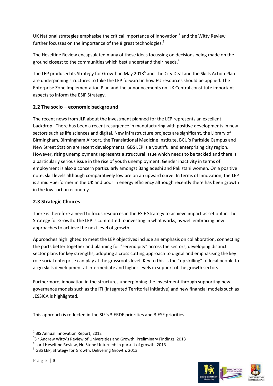UK National strategies emphasise the critical importance of innovation  $^2$  and the Witty Review further focusses on the importance of the 8 great technologies. $3$ 

The Heseltine Review encapsulated many of these ideas focussing on decisions being made on the ground closest to the communities which best understand their needs.<sup>4</sup>

The LEP produced its Strategy for Growth in May 2013<sup>5</sup> and The City Deal and the Skills Action Plan are underpinning structures to take the LEP forward in how EU resources should be applied. The Enterprise Zone Implementation Plan and the announcements on UK Central constitute important aspects to inform the ESIF Strategy.

# **2.2 The socio – economic background**

The recent news from JLR about the investment planned for the LEP represents an excellent backdrop. There has been a recent resurgence in manufacturing with positive developments in new sectors such as life sciences and digital. New infrastructure projects are significant, the Library of Birmingham, Birmingham Airport, the Translational Medicine Institute, BCU's Parkside Campus and New Street Station are recent developments. GBS LEP is a youthful and enterprising city region. However, rising unemployment represents a structural issue which needs to be tackled and there is a particularly serious issue in the rise of youth unemployment. Gender inactivity in terms of employment is also a concern particularly amongst Bangladeshi and Pakistani women. On a positive note, skill levels although comparatively low are on an upward curve. In terms of Innovation, the LEP is a mid –performer in the UK and poor in energy efficiency although recently there has been growth in the low carbon economy.

# **2.3 Strategic Choices**

There is therefore a need to focus resources in the ESIF Strategy to achieve impact as set out in The Strategy for Growth. The LEP is committed to investing in what works, as well embracing new approaches to achieve the next level of growth.

Approaches highlighted to meet the LEP objectives include an emphasis on collaboration, connecting the parts better together and planning for "serendipity" across the sectors, developing distinct sector plans for key strengths, adopting a cross cutting approach to digital and emphasising the key role social enterprise can play at the grassroots level. Key to this is the "up skilling" of local people to align skills development at intermediate and higher levels in support of the growth sectors.

Furthermore, innovation in the structures underpinning the investment through supporting new governance models such as the ITI (integrated Territorial Initiative) and new financial models such as JESSICA is highlighted.

This approach is reflected in the SIF's 3 ERDF priorities and 3 ESF priorities:

1



<sup>&</sup>lt;sup>2</sup> BIS Annual Innovation Report, 2012

<sup>&</sup>lt;sup>3</sup>Sir Andrew Witty's Review of Universities and Growth, Preliminary Findings, 2013

<sup>4</sup> Lord Heseltine Review, No Stone Unturned: in pursuit of growth, 2013

<sup>&</sup>lt;sup>5</sup> GBS LEP, Strategy for Growth: Delivering Growth, 2013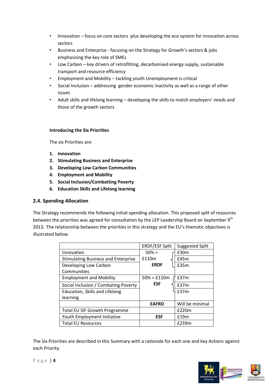- Innovation focus on core sectors plus developing the eco system for innovation across sectors
- Business and Enterprise focusing on the Strategy for Growth's sectors & jobs emphasising the key role of SMEs
- Low Carbon key drivers of retrofitting, decarbonised energy supply, sustainable transport and resource efficiency
- Employment and Mobility tackling youth Unemployment is critical
- Social Inclusion addressing gender economic inactivity as well as a range of other issues
- Adult skills and lifelong learning developing the skills to match employers' needs and those of the growth sectors

## **Introducing the Six Priorities**

The six Priorities are:

- **1. Innovation**
- **2. Stimulating Business and Enterprise**
- **3. Developing Low Carbon Communities**
- **4. Employment and Mobility**
- **5. Social Inclusion/Combatting Poverty**
- **6. Education Skills and Lifelong learning**

# **2.4. Spending Allocation**

The Strategy recommends the following initial spending allocation. This proposed split of resources between the priorities was agreed for consultation by the LEP Leadership Board on September 9<sup>th</sup> 2013. The relationship between the priorities in this strategy and the EU's thematic objectives is illustrated below:

|                                            | <b>ERDF/ESF Split</b> | <b>Suggested Split</b> |
|--------------------------------------------|-----------------------|------------------------|
| Innovation                                 | $50% =$               | £30m                   |
| <b>Stimulating Business and Enterprise</b> | £110m                 | £45m                   |
| Developing Low Carbon                      | <b>ERDF</b>           | £35m                   |
| Communities                                |                       |                        |
| <b>Employment and Mobility</b>             | $50\% = £110m$        | £37m                   |
| Social Inclusion / Combating Poverty       | <b>ESF</b>            | £37m                   |
| Education, Skills and Lifelong             |                       | £37m                   |
| learning                                   |                       |                        |
|                                            | <b>EAFRD</b>          | Will be minimal        |
| <b>Total EU SIF Growth Programme</b>       |                       | £220m                  |
| Youth Employment Initiative                | <b>ESF</b>            | £19m                   |
| <b>Total EU Resources</b>                  |                       | £239m                  |

The Six Priorities are described in this Summary with a rationale for each one and key Actions against each Priority.

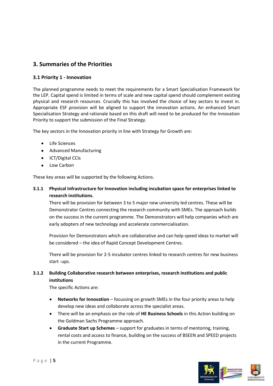# **3. Summaries of the Priorities**

## **3.1 Priority 1 - Innovation**

The planned programme needs to meet the requirements for a Smart Specialisation Framework for the LEP. Capital spend is limited in terms of scale and new capital spend should complement existing physical and research resources. Crucially this has involved the choice of key sectors to invest in. Appropriate ESF provision will be aligned to support the innovation actions. An enhanced Smart Specialisation Strategy and rationale based on this draft will need to be produced for the Innovation Priority to support the submission of the Final Strategy.

The key sectors in the Innovation priority in line with Strategy for Growth are:

- Life Sciences
- Advanced Manufacturing
- ICT/Digital CCIs
- Low Carbon

These key areas will be supported by the following Actions.

## **3.1.1 Physical Infrastructure for Innovation including incubation space for enterprises linked to research institutions.**

There will be provision for between 3 to 5 major new university led centres. These will be Demonstrator Centres connecting the research community with SMEs. The approach builds on the success in the current programme. The Demonstrators will help companies which are early adopters of new technology and accelerate commercialisation.

Provision for Demonstrators which are collaborative and can help speed ideas to market will be considered – the idea of Rapid Concept Development Centres.

There will be provision for 2-5 incubator centres linked to research centres for new business start -ups.

# **3.1.2 Building Collaborative research between enterprises, research institutions and public institutions**

The specific Actions are:

- **Networks for Innovation** focussing on growth SMEs in the four priority areas to help develop new ideas and collaborate across the specialist areas.
- There will be an emphasis on the role of **HE Business Schools** in this Action building on the Goldman Sachs Programme approach.
- **Graduate Start up Schemes** support for graduates in terms of mentoring, training, rental costs and access to finance, building on the success of BSEEN and SPEED projects in the current Programme.

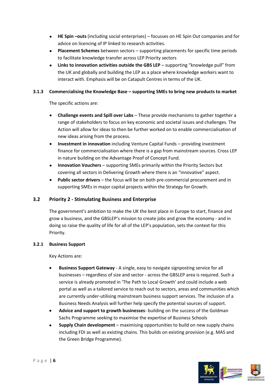- **HE Spin –outs** (including social enterprises) focusses on HE Spin Out companies and for advice on licencing of IP linked to research activities.
- **Placement Schemes** between sectors supporting placements for specific time periods to facilitate knowledge transfer across LEP Priority sectors
- $\bullet$ **Links to innovation activities outside the GBS LEP** – supporting "knowledge pull" from the UK and globally and building the LEP as a place where knowledge workers want to interact with. Emphasis will be on Catapult Centres in terms of the UK.

#### **3.1.3 Commercialising the Knowledge Base – supporting SMEs to bring new products to market**

The specific actions are:

- **Challenge events and Spill over Labs** These provide mechanisms to gather together a range of stakeholders to focus on key economic and societal issues and challenges. The Action will allow for ideas to then be further worked on to enable commercialisation of new ideas arising from the process.
- **Investment in innovation** including Venture Capital Funds providing investment finance for commercialisation where there is a gap from mainstream sources. Cross LEP in nature building on the Advantage Proof of Concept Fund.
- **Innovation Vouchers** supporting SMEs primarily within the Priority Sectors but covering all sectors in Delivering Growth where there is an "innovative" aspect.
- **Public sector drivers** the focus will be on both pre-commercial procurement and in supporting SMEs in major capital projects within the Strategy for Growth.

# **3.2 Priority 2 - Stimulating Business and Enterprise**

The government's ambition to make the UK the best place in Europe to start, finance and grow a business, and the GBSLEP's mission to create jobs and grow the economy - and in doing so raise the quality of life for all of the LEP's population, sets the context for this Priority.

#### **3.2.1 Business Support**

Key Actions are:

- **Business Support Gateway** A single, easy to navigate signposting service for all businesses – regardless of size and sector - across the GBSLEP area is required. Such a service is already promoted in 'The Path to Local Growth' and could include a web portal as well as a tailored service to reach out to sectors, areas and communities which are currently under-utilising mainstream business support services. The inclusion of a Business Needs Analysis will further help specify the potential sources of support.
- **Advice and support to growth businesses** building on the success of the Goldman Sachs Programme seeking to maximise the expertise of Business Schools
- **Supply Chain development** maximising opportunities to build on new supply chains including FDI as well as existing chains. This builds on existing provision (e.g. MAS and the Green Bridge Programme).

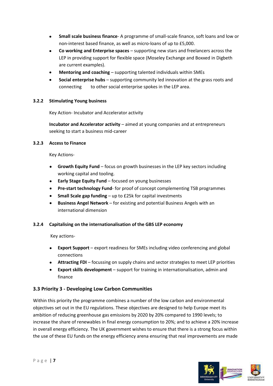- **Small scale business finance** A programme of small-scale finance, soft loans and low or  $\bullet$ non-interest based finance, as well as micro-loans of up to £5,000.
- **Co working and Enterprise spaces** supporting new stars and freelancers across the LEP in providing support for flexible space (Moseley Exchange and Boxxed in Digbeth are current examples).
- **Mentoring and coaching** supporting talented individuals within SMEs
- **Social enterprise hubs** supporting community led innovation at the grass roots and connecting to other social enterprise spokes in the LEP area.

#### **3.2.2 Stimulating Young business**

Key Action- Incubator and Accelerator activity

**Incubator and Accelerator activity** – aimed at young companies and at entrepreneurs seeking to start a business mid-career

#### **3.2.3 Access to Finance**

Key Actions-

- **Growth Equity Fund** focus on growth businesses in the LEP key sectors including working capital and tooling.
- **Early Stage Equity Fund** focused on young businesses
- **Pre-start technology Fund** for proof of concept complementing TSB programmes  $\bullet$
- **Small Scale gap funding** up to £25k for capital investments
- **Business Angel Network** for existing and potential Business Angels with an international dimension

#### **3.2.4 Capitalising on the internationalisation of the GBS LEP economy**

Key actions-

- **Export Support** export readiness for SMEs including video conferencing and global connections
- **Attracting FDI** focussing on supply chains and sector strategies to meet LEP priorities
- **Export skills development** support for training in internationalisation, admin and finance

# **3.3 Priority 3 - Developing Low Carbon Communities**

Within this priority the programme combines a number of the low carbon and environmental objectives set out in the EU regulations. These objectives are designed to help Europe meet its ambition of reducing greenhouse gas emissions by 2020 by 20% compared to 1990 levels; to increase the share of renewables in final energy consumption to 20%; and to achieve a 20% increase in overall energy efficiency. The UK government wishes to ensure that there is a strong focus within the use of these EU funds on the energy efficiency arena ensuring that real improvements are made

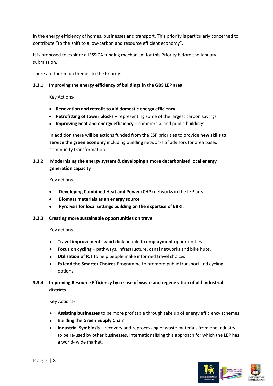in the energy efficiency of homes, businesses and transport. This priority is particularly concerned to contribute "to the shift to a low-carbon and resource efficient economy".

It is proposed to explore a JESSICA funding mechanism for this Priority before the January submission.

There are four main themes to the Priority:

#### **3.3.1 Improving the energy efficiency of buildings in the GBS LEP area**

Key Actions-

- **Renovation and retrofit to aid domestic energy efficiency**
- **Retrofitting of tower blocks** representing some of the largest carbon savings
- **Improving heat and energy efficiency** commercial and public buildings

In addition there will be actions funded from the ESF priorities to provide **new skills to service the green economy** including building networks of advisors for area based community transformation.

## **3**.**3.2 Modernising the energy system & developing a more decarbonised local energy generation capacity**

Key actions –

- **Developing Combined Heat and Power (CHP)** networks in the LEP area.
- **Biomass materials as an energy source**
- **Pyrolysis for local settings building on the expertise of EBRI**.
- **3.3.3 Creating more sustainable opportunities on travel**

Key actions-

- **Travel improvements** which link people to **employment** opportunities.
- **Focus on cycling** pathways, infrastructure, canal networks and bike hubs.  $\bullet$
- **Utilisation of ICT t**o help people make informed travel choices
- **Extend the Smarter Choices** Programme to promote public transport and cycling options.

## **3.3.4 Improving Resource Efficiency by re-use of waste and regeneration of old industrial districts**

Key Actions-

- **Assisting businesses** to be more profitable through take up of energy efficiency schemes
- Building the **Green Supply Chain**
- **Industrial Symbiosis** recovery and reprocessing of waste materials from one industry to be re-used by other businesses. Internationalising this approach for which the LEP has a world- wide market.

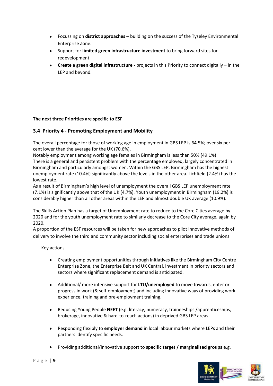- Focussing on **district approaches** building on the success of the Tyseley Environmental Enterprise Zone.
- Support for **limited green infrastructure investment** to bring forward sites for redevelopment.
- **Create** a **green digital infrastructure -** projects in this Priority to connect digitally in the LEP and beyond.

#### **The next three Priorities are specific to ESF**

## **3.4 Priority 4 - Promoting Employment and Mobility**

The overall percentage for those of working age in employment in GBS LEP is 64.5%; over six per cent lower than the average for the UK (70.6%).

Notably employment among working age females in Birmingham is less than 50% (49.1%) There is a general and persistent problem with the percentage employed, largely concentrated in Birmingham and particularly amongst women. Within the GBS LEP, Birmingham has the highest unemployment rate (10.4%) significantly above the levels in the other area. Lichfield (2.4%) has the lowest rate.

As a result of Birmingham's high level of unemployment the overall GBS LEP unemployment rate (7.1%) is significantly above that of the UK (4.7%). Youth unemployment in Birmingham (19.2%) is considerably higher than all other areas within the LEP and almost double UK average (10.9%).

The Skills Action Plan has a target of Unemployment rate to reduce to the Core Cities average by 2020 and for the youth unemployment rate to similarly decrease to the Core City average, again by 2020.

A proportion of the ESF resources will be taken for new approaches to pilot innovative methods of delivery to involve the third and community sector including social enterprises and trade unions.

Key actions-

- Creating employment opportunities through initiatives like the Birmingham City Centre Enterprise Zone, the Enterprise Belt and UK Central, investment in priority sectors and sectors where significant replacement demand is anticipated.
- Additional/ more intensive support for **LTU/unemployed** to move towards, enter or progress in work (& self-employment) and including innovative ways of providing work experience, training and pre-employment training.
- Reducing Young People **NEET** (e.g. literacy, numeracy, traineeships /apprenticeships, brokerage, innovative & hard-to-reach actions) in deprived GBS LEP areas.
- Responding flexibly to **employer demand** in local labour markets where LEPs and their partners identify specific needs.
- Providing additional/innovative support to **specific target / marginalised groups** e.g.

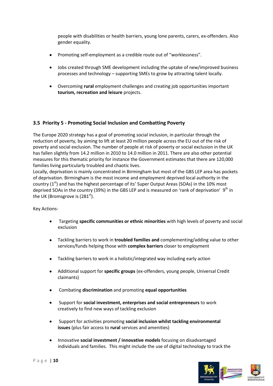people with disabilities or health barriers, young lone parents, carers, ex-offenders. Also gender equality.

- Promoting self-employment as a credible route out of "worklessness".
- Jobs created through SME development including the uptake of new/improved business processes and technology – supporting SMEs to grow by attracting talent locally.
- Overcoming **rural** employment challenges and creating job opportunities important **tourism, recreation and leisure** projects.

## **3.5 Priority 5 - Promoting Social Inclusion and Combatting Poverty**

The Europe 2020 strategy has a goal of promoting social inclusion, in particular through the reduction of poverty, by aiming to lift at least 20 million people across the EU out of the risk of poverty and social exclusion. The number of people at risk of poverty or social exclusion in the UK has fallen slightly from 14.2 million in 2010 to 14.0 million in 2011. There are also other potential measures for this thematic priority for instance the Government estimates that there are 120,000 families living particularly troubled and chaotic lives.

Locally, deprivation is mainly concentrated in Birmingham but most of the GBS LEP area has pockets of deprivation. Birmingham is the most income and employment deprived local authority in the country  $(1^{st})$  and has the highest percentage of its' Super Output Areas (SOAs) in the 10% most deprived SOAs in the country (39%) in the GBS LEP and is measured on 'rank of deprivation' 9<sup>th</sup> in the UK (Bromsgrove is  $(281<sup>st</sup>)$ .

Key Actions-

- Targeting **specific communities or ethnic minorities** with high levels of poverty and social exclusion
- Tackling barriers to work in **troubled families and** complementing/adding value to other services/funds helping those with **complex barriers** closer to employment
- Tackling barriers to work in a holistic/integrated way including early action
- Additional support for **specific groups** (ex-offenders, young people, Universal Credit claimants)
- Combating **discrimination** and promoting **equal opportunities**
- Support for **social investment, enterprises and social entrepreneurs** to work creatively to find new ways of tackling exclusion
- Support for activities promoting **social inclusion whilst tackling environmental issues** (plus fair access to **rural** services and amenities)
- Innovative **social investment / innovative models** focusing on disadvantaged individuals and families. This might include the use of digital technology to track the

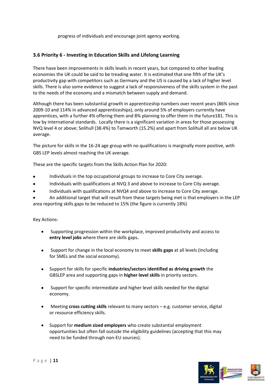progress of individuals and encourage joint agency working.

## **3.6 Priority 6 - Investing in Education Skills and Lifelong Learning**

There have been improvements in skills levels in recent years, but compared to other leading economies the UK could be said to be treading water. It is estimated that one fifth of the UK's productivity gap with competitors such as Germany and the US is caused by a lack of higher level skills. There is also some evidence to suggest a lack of responsiveness of the skills system in the past to the needs of the economy and a mismatch between supply and demand.

Although there has been substantial growth in apprenticeship numbers over recent years (86% since 2009-10 and 114% in advanced apprenticeships), only around 5% of employers currently have apprentices, with a further 4% offering them and 8% planning to offer them in the future181. This is low by international standards. Locally there is a significant variation in areas for those possessing NVQ level 4 or above; Solihull (38.4%) to Tamworth (15.2%) and apart from Solihull all are below UK average.

The picture for skills in the 16-24 age group with no qualifications is marginally more positive, with GBS LEP levels almost reaching the UK average.

These are the specific targets from the Skills Action Plan for 2020:

- Individuals in the top occupational groups to increase to Core City average.
- Individuals with qualifications at NVQ 3 and above to increase to Core City average.
- Individuals with qualifications at NVQ4 and above to increase to Core City average.
- An additional target that will result from these targets being met is that employers in the LEP area reporting skills gaps to be reduced to 15% (the figure is currently 18%)

#### Key Actions-

- Supporting progression within the workplace, improved productivity and access to **entry level jobs** where there are skills gaps**.**
- Support for change in the local economy to meet **skills gaps** at all levels (including  $\bullet$ for SMEs and the social economy).
- Support for skills for specific **industries/sectors identified as driving growth** the GBSLEP area and supporting gaps in **higher level skills** in priority sectors.
- Support for specific intermediate and higher level skills needed for the digital economy.
- $\bullet$ Meeting **cross cutting skills** relevant to many sectors – e.g. customer service, digital or resource efficiency skills.
- Support for **medium sized employers** who create substantial employment opportunities but often fall outside the eligibility guidelines (accepting that this may need to be funded through non-EU sources).

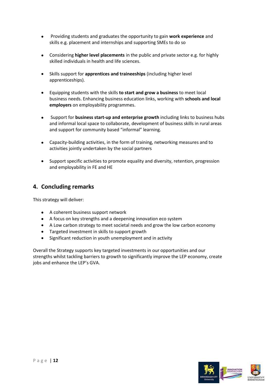- Providing students and graduates the opportunity to gain **work experience** and  $\bullet$ skills e.g. placement and internships and supporting SMEs to do so
- Considering **higher level placements** in the public and private sector e.g. for highly  $\bullet$ skilled individuals in health and life sciences.
- Skills support for **apprentices and traineeships** (including higher level  $\bullet$ apprenticeships).
- Equipping students with the skills **to start and grow a business** to meet local business needs. Enhancing business education links, working with **schools and local employers** on employability programmes.
- Support for **business start-up and enterprise growth** including links to business hubs and informal local space to collaborate, development of business skills in rural areas and support for community based "informal" learning.
- Capacity-building activities, in the form of training, networking measures and to  $\bullet$ activities jointly undertaken by the social partners
- Support specific activities to promote equality and diversity, retention, progression  $\bullet$ and employability in FE and HE

# **4. Concluding remarks**

This strategy will deliver:

- A coherent business support network
- A focus on key strengths and a deepening innovation eco system
- A Low carbon strategy to meet societal needs and grow the low carbon economy
- Targeted investment in skills to support growth
- $\bullet$ Significant reduction in youth unemployment and in activity

Overall the Strategy supports key targeted investments in our opportunities and our strengths whilst tackling barriers to growth to significantly improve the LEP economy, create jobs and enhance the LEP's GVA.